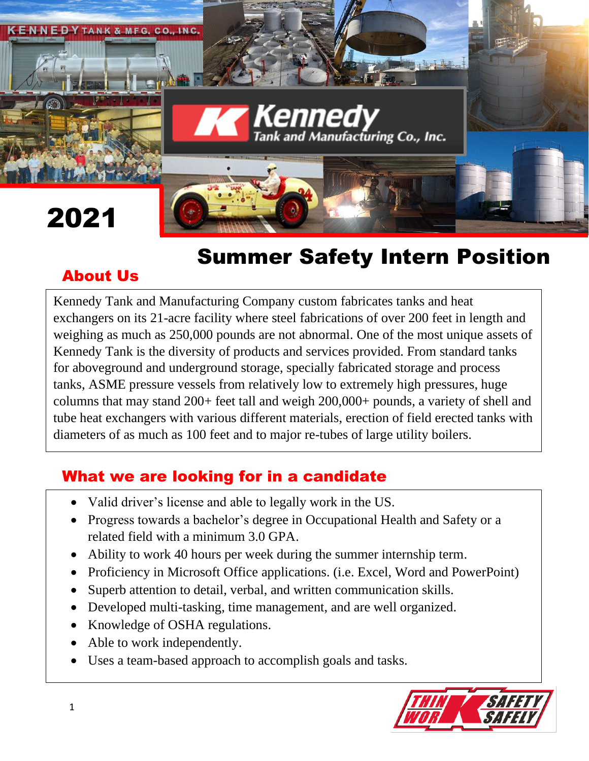

# Summer Safety Intern Position

## About Us

Kennedy Tank and Manufacturing Company custom fabricates tanks and heat exchangers on its 21-acre facility where steel fabrications of over 200 feet in length and weighing as much as 250,000 pounds are not abnormal. One of the most unique assets of Kennedy Tank is the diversity of products and services provided. From standard tanks for aboveground and underground storage, specially fabricated storage and process tanks, ASME pressure vessels from relatively low to extremely high pressures, huge columns that may stand 200+ feet tall and weigh 200,000+ pounds, a variety of shell and tube heat exchangers with various different materials, erection of field erected tanks with diameters of as much as 100 feet and to major re-tubes of large utility boilers.

#### What we are looking for in a candidate

- Valid driver's license and able to legally work in the US.
- Progress towards a bachelor's degree in Occupational Health and Safety or a related field with a minimum 3.0 GPA.
- Ability to work 40 hours per week during the summer internship term.
- Proficiency in Microsoft Office applications. (i.e. Excel, Word and PowerPoint)
- Superb attention to detail, verbal, and written communication skills.
- Developed multi-tasking, time management, and are well organized.
- Knowledge of OSHA regulations.
- Able to work independently.
- Uses a team-based approach to accomplish goals and tasks.